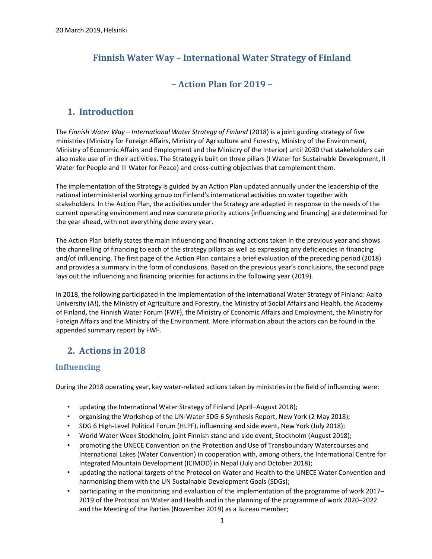# Finnish Water Way – International Water Strategy of Finland

### – Action Plan for 2019 –

## 1. Introduction

The Finnish Water Way – International Water Strategy of Finland (2018) is a joint guiding strategy of five ministries (Ministry for Foreign Affairs, Ministry of Agriculture and Forestry, Ministry of the Environment, Ministry of Economic Affairs and Employment and the Ministry of the Interior) until 2030 that stakeholders can also make use of in their activities. The Strategy is built on three pillars (I Water for Sustainable Development, II Water for People and III Water for Peace) and cross-cutting objectives that complement them.

The implementation of the Strategy is guided by an Action Plan updated annually under the leadership of the national interministerial working group on Finland's international activities on water together with stakeholders. In the Action Plan, the activities under the Strategy are adapted in response to the needs of the current operating environment and new concrete priority actions (influencing and financing) are determined for the year ahead, with not everything done every year.

The Action Plan briefly states the main influencing and financing actions taken in the previous year and shows the channelling of financing to each of the strategy pillars as well as expressing any deficiencies in financing and/of influencing. The first page of the Action Plan contains a brief evaluation of the preceding period (2018) and provides a summary in the form of conclusions. Based on the previous year's conclusions, the second page lays out the influencing and financing priorities for actions in the following year (2019).

In 2018, the following participated in the implementation of the International Water Strategy of Finland: Aalto University (A!), the Ministry of Agriculture and Forestry, the Ministry of Social Affairs and Health, the Academy of Finland, the Finnish Water Forum (FWF), the Ministry of Economic Affairs and Employment, the Ministry for Foreign Affairs and the Ministry of the Environment. More information about the actors can be found in the appended summary report by FWF.

## 2. Actions in 2018

### Influencing

During the 2018 operating year, key water-related actions taken by ministries in the field of influencing were:

- updating the International Water Strategy of Finland (April–August 2018);
- organising the Workshop of the UN-Water SDG 6 Synthesis Report, New York (2 May 2018);
- SDG 6 High-Level Political Forum (HLPF), influencing and side event, New York (July 2018);
- World Water Week Stockholm, joint Finnish stand and side event, Stockholm (August 2018);
- promoting the UNECE Convention on the Protection and Use of Transboundary Watercourses and International Lakes (Water Convention) in cooperation with, among others, the International Centre for Integrated Mountain Development (ICIMOD) in Nepal (July and October 2018);
- updating the national targets of the Protocol on Water and Health to the UNECE Water Convention and harmonising them with the UN Sustainable Development Goals (SDGs);
- participating in the monitoring and evaluation of the implementation of the programme of work 2017– 2019 of the Protocol on Water and Health and in the planning of the programme of work 2020–2022 and the Meeting of the Parties (November 2019) as a Bureau member;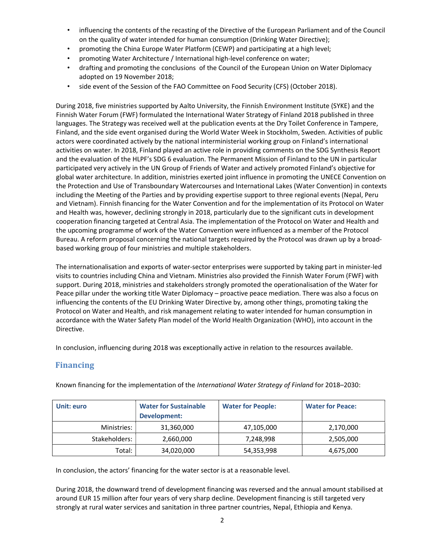- influencing the contents of the recasting of the Directive of the European Parliament and of the Council on the quality of water intended for human consumption (Drinking Water Directive);
- promoting the China Europe Water Platform (CEWP) and participating at a high level;
- promoting Water Architecture / International high-level conference on water;
- drafting and promoting the conclusions of the Council of the European Union on Water Diplomacy adopted on 19 November 2018;
- side event of the Session of the FAO Committee on Food Security (CFS) (October 2018).

During 2018, five ministries supported by Aalto University, the Finnish Environment Institute (SYKE) and the Finnish Water Forum (FWF) formulated the International Water Strategy of Finland 2018 published in three languages. The Strategy was received well at the publication events at the Dry Toilet Conference in Tampere, Finland, and the side event organised during the World Water Week in Stockholm, Sweden. Activities of public actors were coordinated actively by the national interministerial working group on Finland's international activities on water. In 2018, Finland played an active role in providing comments on the SDG Synthesis Report and the evaluation of the HLPF's SDG 6 evaluation. The Permanent Mission of Finland to the UN in particular participated very actively in the UN Group of Friends of Water and actively promoted Finland's objective for global water architecture. In addition, ministries exerted joint influence in promoting the UNECE Convention on the Protection and Use of Transboundary Watercourses and International Lakes (Water Convention) in contexts including the Meeting of the Parties and by providing expertise support to three regional events (Nepal, Peru and Vietnam). Finnish financing for the Water Convention and for the implementation of its Protocol on Water and Health was, however, declining strongly in 2018, particularly due to the significant cuts in development cooperation financing targeted at Central Asia. The implementation of the Protocol on Water and Health and the upcoming programme of work of the Water Convention were influenced as a member of the Protocol Bureau. A reform proposal concerning the national targets required by the Protocol was drawn up by a broadbased working group of four ministries and multiple stakeholders.

The internationalisation and exports of water-sector enterprises were supported by taking part in minister-led visits to countries including China and Vietnam. Ministries also provided the Finnish Water Forum (FWF) with support. During 2018, ministries and stakeholders strongly promoted the operationalisation of the Water for Peace pillar under the working title Water Diplomacy – proactive peace mediation. There was also a focus on influencing the contents of the EU Drinking Water Directive by, among other things, promoting taking the Protocol on Water and Health, and risk management relating to water intended for human consumption in accordance with the Water Safety Plan model of the World Health Organization (WHO), into account in the Directive.

In conclusion, influencing during 2018 was exceptionally active in relation to the resources available.

#### Financing

| Unit: euro    | <b>Water for Sustainable</b><br>Development: | <b>Water for People:</b> | <b>Water for Peace:</b> |
|---------------|----------------------------------------------|--------------------------|-------------------------|
| Ministries:   | 31,360,000                                   | 47,105,000               | 2,170,000               |
| Stakeholders: | 2,660,000                                    | 7,248,998                | 2,505,000               |
| Total:        | 34,020,000                                   | 54,353,998               | 4,675,000               |

Known financing for the implementation of the International Water Strategy of Finland for 2018–2030:

In conclusion, the actors' financing for the water sector is at a reasonable level.

During 2018, the downward trend of development financing was reversed and the annual amount stabilised at around EUR 15 million after four years of very sharp decline. Development financing is still targeted very strongly at rural water services and sanitation in three partner countries, Nepal, Ethiopia and Kenya.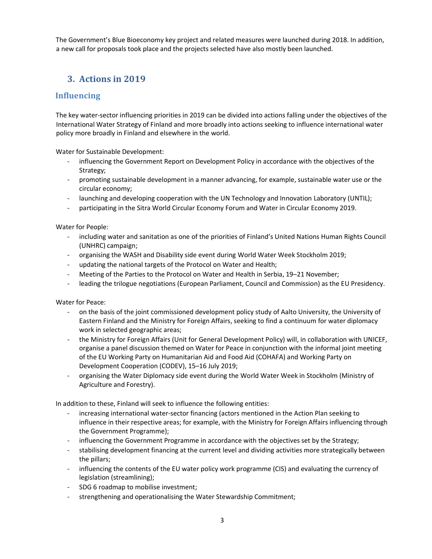The Government's Blue Bioeconomy key project and related measures were launched during 2018. In addition, a new call for proposals took place and the projects selected have also mostly been launched.

### 3. Actions in 2019

### Influencing

The key water-sector influencing priorities in 2019 can be divided into actions falling under the objectives of the International Water Strategy of Finland and more broadly into actions seeking to influence international water policy more broadly in Finland and elsewhere in the world.

Water for Sustainable Development:

- influencing the Government Report on Development Policy in accordance with the objectives of the Strategy;
- promoting sustainable development in a manner advancing, for example, sustainable water use or the circular economy;
- launching and developing cooperation with the UN Technology and Innovation Laboratory (UNTIL);
- participating in the Sitra World Circular Economy Forum and Water in Circular Economy 2019.

Water for People:

- including water and sanitation as one of the priorities of Finland's United Nations Human Rights Council (UNHRC) campaign;
- organising the WASH and Disability side event during World Water Week Stockholm 2019;
- updating the national targets of the Protocol on Water and Health;
- Meeting of the Parties to the Protocol on Water and Health in Serbia, 19–21 November;
- leading the trilogue negotiations (European Parliament, Council and Commission) as the EU Presidency.

Water for Peace:

- on the basis of the joint commissioned development policy study of Aalto University, the University of Eastern Finland and the Ministry for Foreign Affairs, seeking to find a continuum for water diplomacy work in selected geographic areas;
- the Ministry for Foreign Affairs (Unit for General Development Policy) will, in collaboration with UNICEF, organise a panel discussion themed on Water for Peace in conjunction with the informal joint meeting of the EU Working Party on Humanitarian Aid and Food Aid (COHAFA) and Working Party on Development Cooperation (CODEV), 15–16 July 2019;
- organising the Water Diplomacy side event during the World Water Week in Stockholm (Ministry of Agriculture and Forestry).

In addition to these, Finland will seek to influence the following entities:

- increasing international water-sector financing (actors mentioned in the Action Plan seeking to influence in their respective areas; for example, with the Ministry for Foreign Affairs influencing through the Government Programme);
- influencing the Government Programme in accordance with the objectives set by the Strategy;
- stabilising development financing at the current level and dividing activities more strategically between the pillars;
- influencing the contents of the EU water policy work programme (CIS) and evaluating the currency of legislation (streamlining);
- SDG 6 roadmap to mobilise investment;
- strengthening and operationalising the Water Stewardship Commitment;